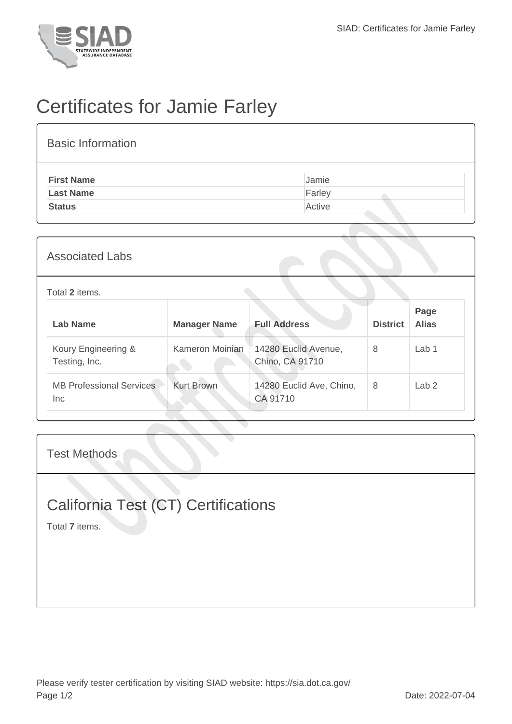

# Certificates for Jamie Farley

| <b>Basic Information</b> |        |
|--------------------------|--------|
| <b>First Name</b>        | Jamie  |
| <b>Last Name</b>         | Farley |
| <b>Status</b>            | Active |
|                          |        |

### Associated Labs

#### Total **2** items.

| Lab Name                                | <b>Manager Name</b> | <b>Full Address</b>                     | <b>District</b> | Page<br><b>Alias</b> |
|-----------------------------------------|---------------------|-----------------------------------------|-----------------|----------------------|
| Koury Engineering &<br>Testing, Inc.    | Kameron Moinian     | 14280 Euclid Avenue,<br>Chino, CA 91710 | 8               | Lab 1                |
| <b>MB Professional Services</b><br>Inc. | <b>Kurt Brown</b>   | 14280 Euclid Ave, Chino,<br>CA 91710    | 8               | Lab <sub>2</sub>     |

#### Test Methods

### California Test (CT) Certifications

Total **7** items.